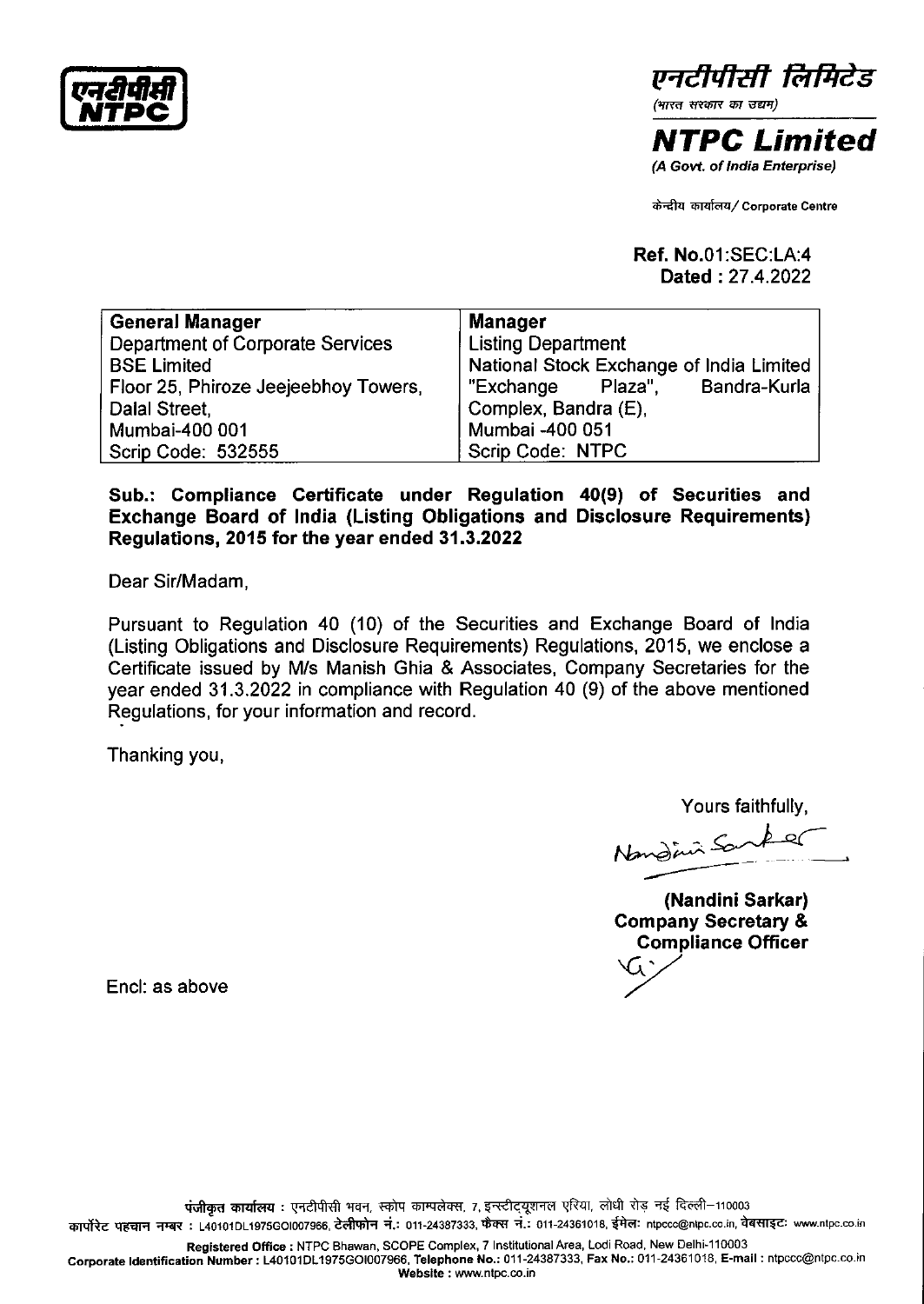एनरीपीसी<br>NTPC एन**दीपीसी**<br>NTPC

*l!rtc!M?lt* **ff;Jfl/es** 

*(भारत सरकार का उद्यम)* 

**NTPC Limited**  (A Govt. of India Enterprise)

<sup>~</sup>~/ **Corporate Centre** 

**Ref. No.01** :SEC:LA:4 **Dated:** 27.4.2022

| <b>General Manager</b>                  | Manager                                  |
|-----------------------------------------|------------------------------------------|
| <b>Department of Corporate Services</b> | <b>Listing Department</b>                |
| <b>BSE Limited</b>                      | National Stock Exchange of India Limited |
| Floor 25, Phiroze Jeejeebhoy Towers,    | Bandra-Kurla<br>"Exchange<br>Plaza",     |
| Dalal Street,                           | Complex, Bandra (E),                     |
| Mumbai-400 001                          | Mumbai -400 051                          |
| Scrip Code: 532555                      | Scrip Code: NTPC                         |

## **Sub.: Compliance Certificate under Regulation 40(9) of Securities and Exchange Board of India (Listing Obligations and Disclosure Requirements) Regulations, 2015 for the year ended 31.3.2022**

Dear Sir/Madam,

Pursuant to Regulation 40 (10) of the Securities and Exchange Board of India (Listing Obligations and Disclosure Requirements) Regulations, 2015, we enclose a Certificate issued by M/s Manish Ghia & Associates, Company Secretaries for the year ended 31.3.2022 in compliance with Regulation 40 (9) of the above mentioned Regulations, for your information and record.

Thanking you,

Yours faithfully,

Nandini Sanker

**(Nandini Sarkar) Company Secretary** & **Compliance Officer**<br>City<br>*C* 

Encl: as above

**Registered Office:** NTPC Bhawan, SCOPE Complex, 7 Institutional Area, Lodi Road, New Delhi-110003 **Corporate Identification Number:** L40101DL 1975GOI007966, **Telephone No.:** 011-24387333, **Fax No.:** 011-24361018, **E-mail** : ntpccc@ntpc.co.in **Website** : www.ntpc.co.in